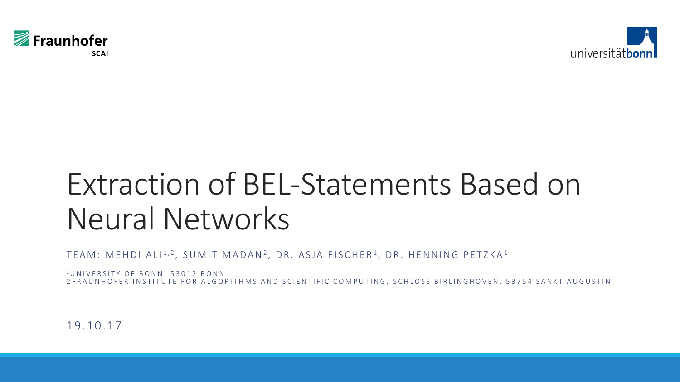



# Extraction of BEL-Statements Based on Neural Networks

TEAM: MEHDI ALI $^{1,2}$ , SUMIT MADAN $^{2}$ , DR. ASJA FISCHER $^{1}$ , DR. HENNING PETZKA $^{1}$ 

<sup>1</sup>UNIVERSITY OF BONN, 53012 BONN 2 FRAUNHOFER INSTITUTE FOR ALGORITHMS AND SCIENTIFIC COMPUTING, SCHLOSS BIRLINGHOVEN, 53754 SANKT AUGUSTIN

19. 10. 17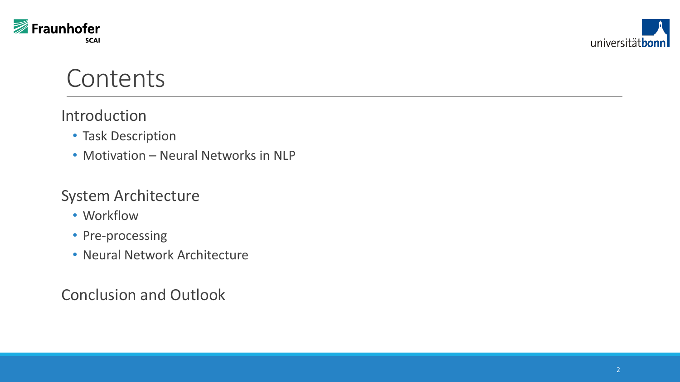



#### **Contents**

#### Introduction

- Task Description
- Motivation Neural Networks in NLP

#### System Architecture

- Workflow
- Pre-processing
- Neural Network Architecture

Conclusion and Outlook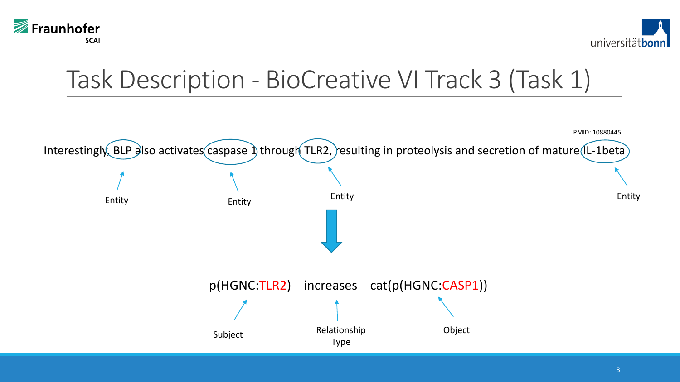



## Task Description - BioCreative VI Track 3 (Task 1)

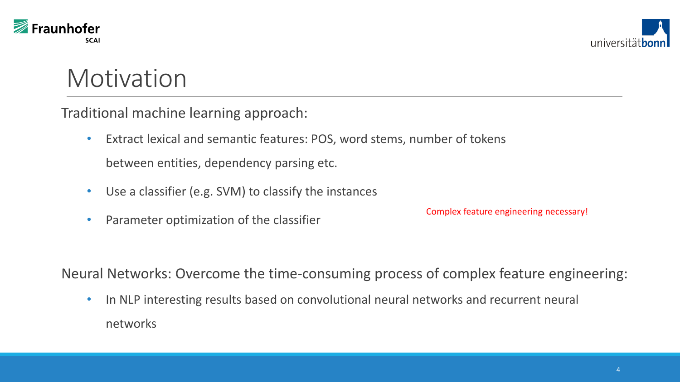



#### **Motivation**

Traditional machine learning approach:

- Extract lexical and semantic features: POS, word stems, number of tokens between entities, dependency parsing etc.
- Use a classifier (e.g. SVM) to classify the instances
- Parameter optimization of the classifier

Complex feature engineering necessary!

Neural Networks: Overcome the time-consuming process of complex feature engineering:

• In NLP interesting results based on convolutional neural networks and recurrent neural networks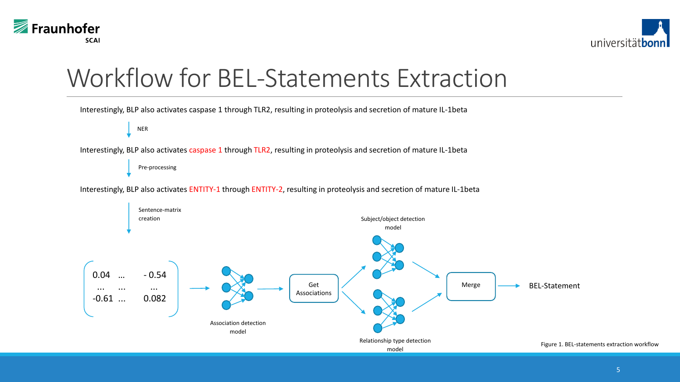



#### Workflow for BEL-Statements Extraction

Interestingly, BLP also activates caspase 1 through TLR2, resulting in proteolysis and secretion of mature IL-1beta

NER

Interestingly, BLP also activates caspase 1 through TLR2, resulting in proteolysis and secretion of mature IL-1beta

Pre-processing

Interestingly, BLP also activates ENTITY-1 through ENTITY-2, resulting in proteolysis and secretion of mature IL-1beta

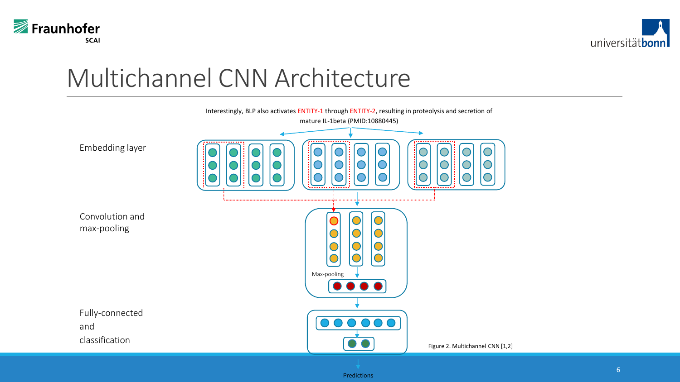



#### Multichannel CNN Architecture

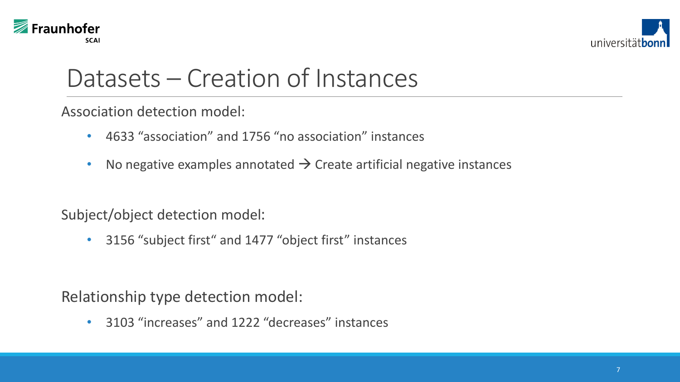



#### Datasets – Creation of Instances

Association detection model:

- 4633 "association" and 1756 "no association" instances
- No negative examples annotated  $\rightarrow$  Create artificial negative instances

Subject/object detection model:

• 3156 "subject first" and 1477 "object first" instances

Relationship type detection model:

• 3103 "increases" and 1222 "decreases" instances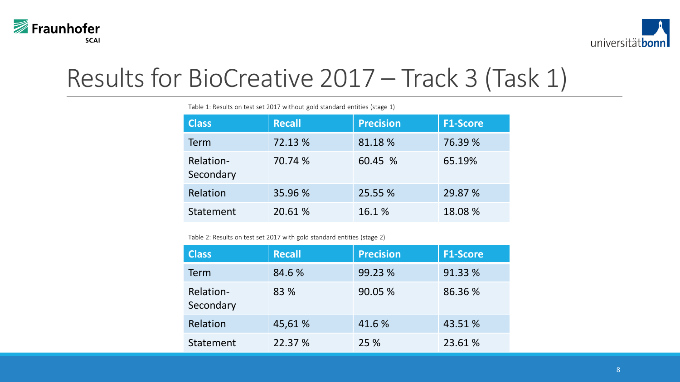



### Results for BioCreative 2017 – Track 3 (Task 1)

| <b>Class</b>           | <b>Recall</b> | <b>Precision</b> | <b>F1-Score</b> |
|------------------------|---------------|------------------|-----------------|
| <b>Term</b>            | 72.13 %       | 81.18%           | 76.39 %         |
| Relation-<br>Secondary | 70.74 %       | 60.45 %          | 65.19%          |
| Relation               | 35.96 %       | 25.55 %          | 29.87 %         |
| Statement              | 20.61 %       | 16.1 %           | 18.08%          |

Table 1: Results on test set 2017 without gold standard entities (stage 1)

Table 2: Results on test set 2017 with gold standard entities (stage 2)

| <b>Class</b>           | <b>Recall</b> | <b>Precision</b> | <b>F1-Score</b> |
|------------------------|---------------|------------------|-----------------|
| <b>Term</b>            | 84.6 %        | 99.23 %          | 91.33 %         |
| Relation-<br>Secondary | 83 %          | 90.05 %          | 86.36 %         |
| Relation               | 45,61 %       | 41.6 %           | 43.51 %         |
| Statement              | 22.37 %       | 25 %             | 23.61 %         |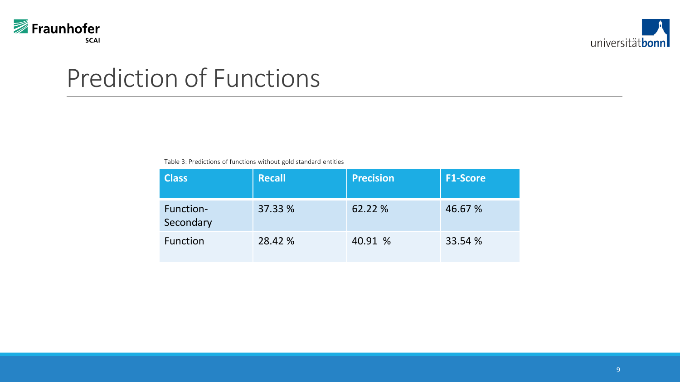



#### Prediction of Functions

Table 3: Predictions of functions without gold standard entities

| <b>Class</b>           | <b>Recall</b> | <b>Precision</b> | <b>F1-Score</b> |
|------------------------|---------------|------------------|-----------------|
| Function-<br>Secondary | 37.33 %       | 62.22 %          | 46.67 %         |
| Function               | 28.42 %       | 40.91 %          | 33.54 %         |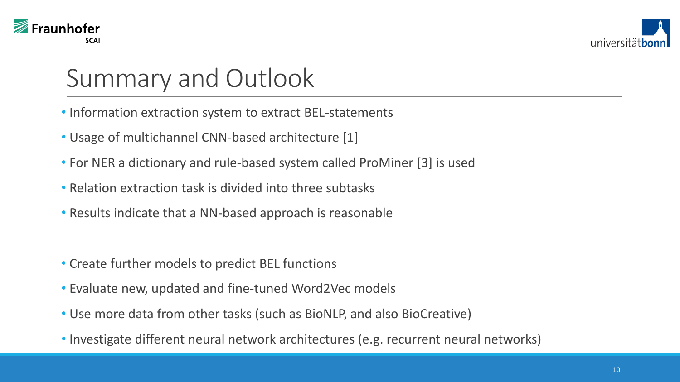



### Summary and Outlook

- Information extraction system to extract BEL-statements
- Usage of multichannel CNN-based architecture [1]
- For NER a dictionary and rule-based system called ProMiner [3] is used
- Relation extraction task is divided into three subtasks
- Results indicate that a NN-based approach is reasonable
- Create further models to predict BEL functions
- Evaluate new, updated and fine-tuned Word2Vec models
- Use more data from other tasks (such as BioNLP, and also BioCreative)
- Investigate different neural network architectures (e.g. recurrent neural networks)